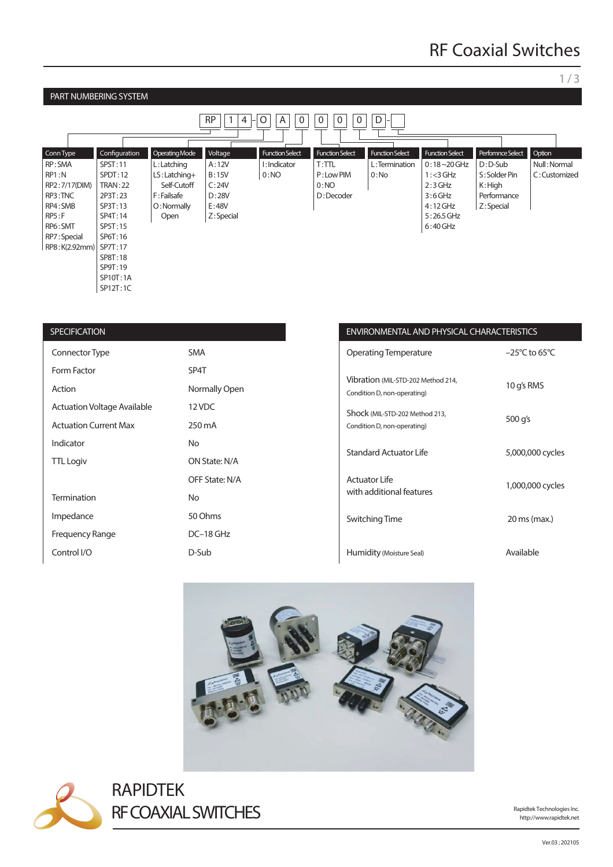### 1 / 3

#### PART NUMBERING SYSTEM RP || 1 | 4 |-| O | | A || 0 || 0 || 0 || 0 || D Perfomnce Select D : D-Sub S : Solder Pin K : High Performance Z: Special Function Select  $0:18 - 20$  GHz  $1: < 3$  GHz  $2:3$  GHz 3 : 6 GHz 4 : 12 GHz 5 : 26.5 GHz 6 : 40 GHz Function Select L : Termination  $0:N<sub>0</sub>$ Function S  $T:TTL$ P : Low PIM 0:NO D : Decoder Function Select I : Indicator  $0:NO$ Voltage A : 12V B : 15V  $C:24V$ D : 28V E : 48V Z: Special Operating Mode  $\lfloor$  L : Latching LS : Latching+ Self-Cutoff F : Failsafe O : Normally Open Configuration SPST : 11 SPDT:12 TRAN : 22 2P3T : 23 SP3T : 13 SP4T : 14 SP5T : 15 SP6T : 16 RP8:K(2.92mm) | SP7T:17 SP8T : 18 SP9T : 19 SP10T:1A SP12T : 1C Conn Type RP : SMA RP1 : N RP2 : 7/17(DIM) RP3 : TNC RP4 : SMB RP5 : F RP6 : SMT RP7 : Special Option Null : Normal C : Customized

| <b>SPECIFICATION</b>               |                | <b>ENVIRONI</b>           |
|------------------------------------|----------------|---------------------------|
| Connector Type                     | <b>SMA</b>     | Operatino                 |
| Form Factor                        | SP4T           |                           |
| Action                             | Normally Open  | Vibration<br>Condition D, |
| <b>Actuation Voltage Available</b> | 12 VDC         | Shock (MIL                |
| <b>Actuation Current Max</b>       | 250 mA         | Condition D,              |
| Indicator                          | <b>No</b>      | Standard                  |
| <b>TTL Logiv</b>                   | ON State: N/A  |                           |
|                                    | OFF State: N/A | Actuator I                |
| <b>Termination</b>                 | <b>No</b>      | with addit                |
| Impedance                          | 50 Ohms        | Switching                 |
| <b>Frequency Range</b>             | $DC-18$ GHz    |                           |
| Control I/O                        | D-Sub          | Humidity                  |

## MENTAL AND PHYSICAL CHARACTERISTICS

| Operating Temperature                                             | $-25^{\circ}$ C to 65 $^{\circ}$ C |
|-------------------------------------------------------------------|------------------------------------|
| Vibration (MIL-STD-202 Method 214,<br>Condition D, non-operating) | 10 g's RMS                         |
| Shock (MIL-STD-202 Method 213,<br>Condition D, non-operating)     | 500 g's                            |
| <b>Standard Actuator Life</b>                                     | 5,000,000 cycles                   |
| Actuator Life<br>with additional features                         | 1,000,000 cycles                   |
| Switching Time                                                    | 20 ms (max.)                       |
| Humidity (Moisture Seal)                                          | Available                          |





RAPIDTEK RF COAXIAL SWITCHES

http://www.rapidtek.net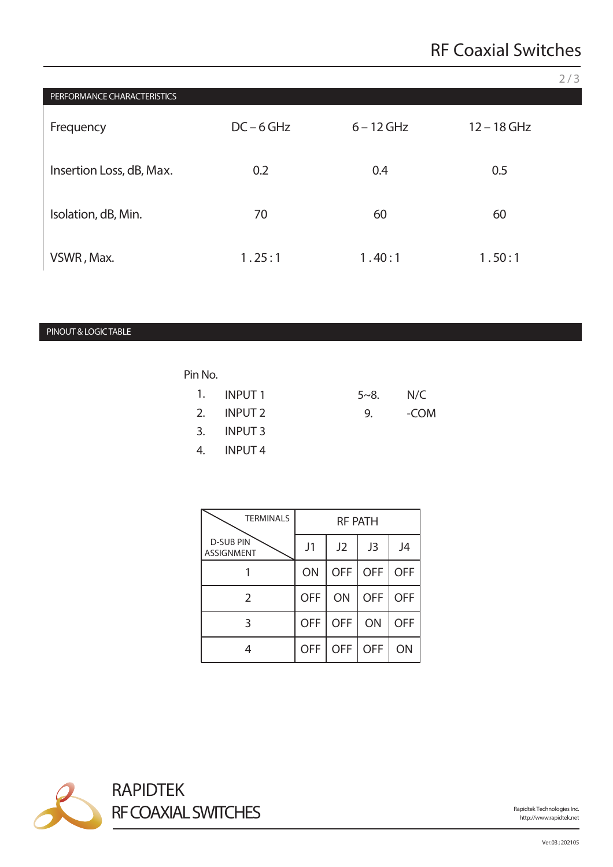|                             |              |              |               | 2/3 |
|-----------------------------|--------------|--------------|---------------|-----|
| PERFORMANCE CHARACTERISTICS |              |              |               |     |
| Frequency                   | $DC - 6 GHz$ | $6 - 12$ GHz | $12 - 18$ GHz |     |
| Insertion Loss, dB, Max.    | 0.2          | 0.4          | 0.5           |     |
| Isolation, dB, Min.         | 70           | 60           | 60            |     |
| VSWR, Max.                  | 1.25:1       | 1.40:1       | 1.50:1        |     |

## PINOUT & LOGIC TABLE

# Pin No.

| 1. INPUT 1 | $5 - 8$ . | N/C  |
|------------|-----------|------|
| 2. INPUT 2 | 9.        | -COM |
| 3. INPUT 3 |           |      |
| 4. INPUT 4 |           |      |

| <b>TERMINALS</b>                      | <b>RF PATH</b> |            |            |            |
|---------------------------------------|----------------|------------|------------|------------|
| <b>D-SUB PIN</b><br><b>ASSIGNMENT</b> | J1             | J2         | J3         | J4         |
|                                       | ON             | <b>OFF</b> | <b>OFF</b> | <b>OFF</b> |
| 2                                     | <b>OFF</b>     | ON         | <b>OFF</b> | <b>OFF</b> |
| 3                                     | <b>OFF</b>     | <b>OFF</b> | ON         | <b>OFF</b> |
|                                       | <b>OFF</b>     | <b>OFF</b> | <b>OFF</b> | ON         |



http://www.rapidtek.net